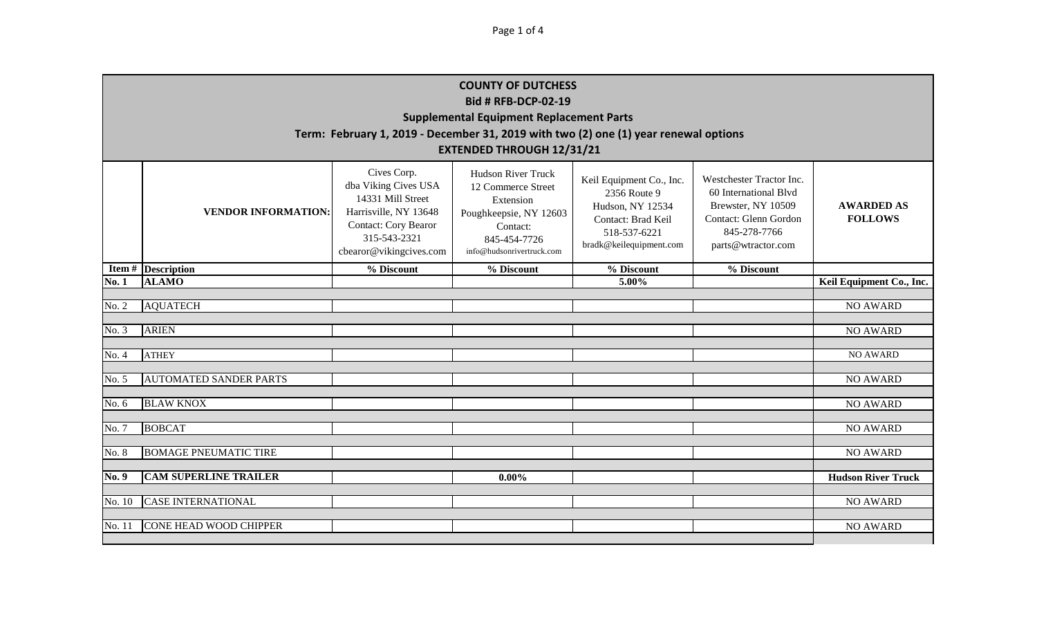Page 1 of 4

| <b>COUNTY OF DUTCHESS</b><br><b>Bid # RFB-DCP-02-19</b><br><b>Supplemental Equipment Replacement Parts</b><br>Term: February 1, 2019 - December 31, 2019 with two (2) one (1) year renewal options<br><b>EXTENDED THROUGH 12/31/21</b> |                                 |                                                                                                                                                             |                                                                                                                                                 |                                                                                                                               |                                                                                                                                        |                                     |
|----------------------------------------------------------------------------------------------------------------------------------------------------------------------------------------------------------------------------------------|---------------------------------|-------------------------------------------------------------------------------------------------------------------------------------------------------------|-------------------------------------------------------------------------------------------------------------------------------------------------|-------------------------------------------------------------------------------------------------------------------------------|----------------------------------------------------------------------------------------------------------------------------------------|-------------------------------------|
|                                                                                                                                                                                                                                        | <b>VENDOR INFORMATION:</b>      | Cives Corp.<br>dba Viking Cives USA<br>14331 Mill Street<br>Harrisville, NY 13648<br><b>Contact: Cory Bearor</b><br>315-543-2321<br>cbearor@vikingcives.com | <b>Hudson River Truck</b><br>12 Commerce Street<br>Extension<br>Poughkeepsie, NY 12603<br>Contact:<br>845-454-7726<br>info@hudsonrivertruck.com | Keil Equipment Co., Inc.<br>2356 Route 9<br>Hudson, NY 12534<br>Contact: Brad Keil<br>518-537-6221<br>bradk@keilequipment.com | Westchester Tractor Inc.<br>60 International Blvd<br>Brewster, NY 10509<br>Contact: Glenn Gordon<br>845-278-7766<br>parts@wtractor.com | <b>AWARDED AS</b><br><b>FOLLOWS</b> |
|                                                                                                                                                                                                                                        | <b>Item # Description</b>       | % Discount                                                                                                                                                  | % Discount                                                                                                                                      | % Discount                                                                                                                    | % Discount                                                                                                                             |                                     |
| No. 1                                                                                                                                                                                                                                  | <b>ALAMO</b>                    |                                                                                                                                                             |                                                                                                                                                 | 5.00%                                                                                                                         |                                                                                                                                        | Keil Equipment Co., Inc.            |
| No. 2<br>No. 3                                                                                                                                                                                                                         | <b>AQUATECH</b><br><b>ARIEN</b> |                                                                                                                                                             |                                                                                                                                                 |                                                                                                                               |                                                                                                                                        | <b>NO AWARD</b><br><b>NO AWARD</b>  |
| No. 4                                                                                                                                                                                                                                  | <b>ATHEY</b>                    |                                                                                                                                                             |                                                                                                                                                 |                                                                                                                               |                                                                                                                                        | <b>NO AWARD</b>                     |
| No. 5                                                                                                                                                                                                                                  | <b>AUTOMATED SANDER PARTS</b>   |                                                                                                                                                             |                                                                                                                                                 |                                                                                                                               |                                                                                                                                        | <b>NO AWARD</b>                     |
| No. 6                                                                                                                                                                                                                                  | <b>BLAW KNOX</b>                |                                                                                                                                                             |                                                                                                                                                 |                                                                                                                               |                                                                                                                                        | <b>NO AWARD</b>                     |
| No. 7                                                                                                                                                                                                                                  | <b>BOBCAT</b>                   |                                                                                                                                                             |                                                                                                                                                 |                                                                                                                               |                                                                                                                                        | <b>NO AWARD</b>                     |
| No. 8                                                                                                                                                                                                                                  | <b>BOMAGE PNEUMATIC TIRE</b>    |                                                                                                                                                             |                                                                                                                                                 |                                                                                                                               |                                                                                                                                        | <b>NO AWARD</b>                     |
| No. 9                                                                                                                                                                                                                                  | <b>CAM SUPERLINE TRAILER</b>    |                                                                                                                                                             | $0.00\%$                                                                                                                                        |                                                                                                                               |                                                                                                                                        | <b>Hudson River Truck</b>           |
| No. 10                                                                                                                                                                                                                                 | <b>CASE INTERNATIONAL</b>       |                                                                                                                                                             |                                                                                                                                                 |                                                                                                                               |                                                                                                                                        | <b>NO AWARD</b>                     |
| No. 11                                                                                                                                                                                                                                 | <b>CONE HEAD WOOD CHIPPER</b>   |                                                                                                                                                             |                                                                                                                                                 |                                                                                                                               |                                                                                                                                        | <b>NO AWARD</b>                     |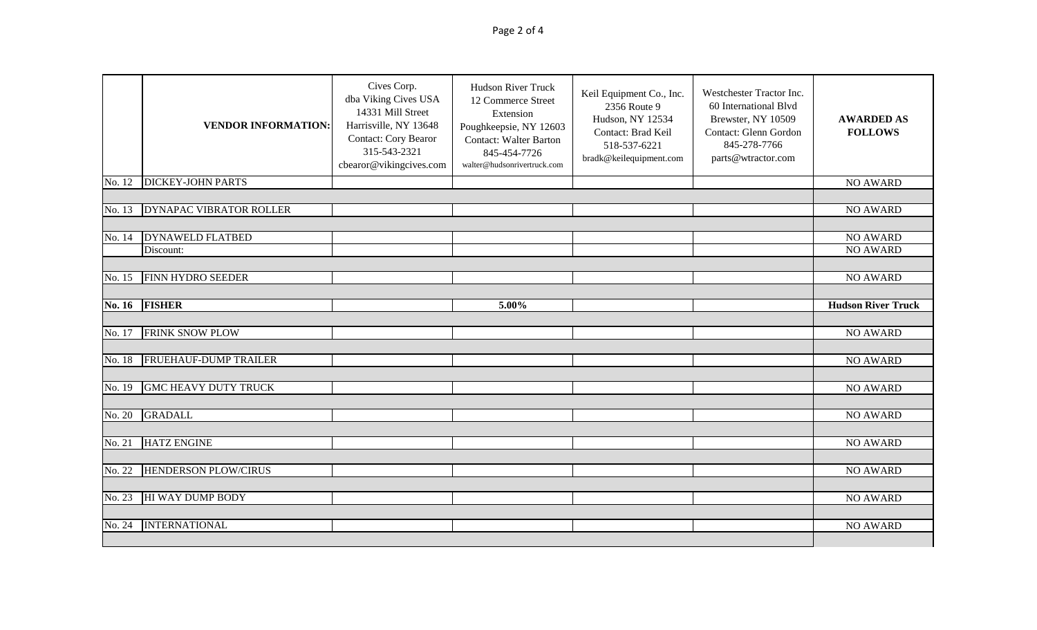|               | <b>VENDOR INFORMATION:</b>     | Cives Corp.<br>dba Viking Cives USA<br>14331 Mill Street<br>Harrisville, NY 13648<br><b>Contact: Cory Bearor</b><br>315-543-2321<br>cbearor@vikingcives.com | <b>Hudson River Truck</b><br>12 Commerce Street<br>Extension<br>Poughkeepsie, NY 12603<br><b>Contact: Walter Barton</b><br>845-454-7726<br>walter@hudsonrivertruck.com | Keil Equipment Co., Inc.<br>2356 Route 9<br>Hudson, NY 12534<br>Contact: Brad Keil<br>518-537-6221<br>bradk@keilequipment.com | Westchester Tractor Inc.<br>60 International Blvd<br>Brewster, NY 10509<br>Contact: Glenn Gordon<br>845-278-7766<br>parts@wtractor.com | <b>AWARDED AS</b><br><b>FOLLOWS</b> |
|---------------|--------------------------------|-------------------------------------------------------------------------------------------------------------------------------------------------------------|------------------------------------------------------------------------------------------------------------------------------------------------------------------------|-------------------------------------------------------------------------------------------------------------------------------|----------------------------------------------------------------------------------------------------------------------------------------|-------------------------------------|
| No. 12        | <b>DICKEY-JOHN PARTS</b>       |                                                                                                                                                             |                                                                                                                                                                        |                                                                                                                               |                                                                                                                                        | <b>NO AWARD</b>                     |
|               |                                |                                                                                                                                                             |                                                                                                                                                                        |                                                                                                                               |                                                                                                                                        |                                     |
| No. 13        | <b>DYNAPAC VIBRATOR ROLLER</b> |                                                                                                                                                             |                                                                                                                                                                        |                                                                                                                               |                                                                                                                                        | NO AWARD                            |
|               |                                |                                                                                                                                                             |                                                                                                                                                                        |                                                                                                                               |                                                                                                                                        |                                     |
| No. 14        | <b>DYNAWELD FLATBED</b>        |                                                                                                                                                             |                                                                                                                                                                        |                                                                                                                               |                                                                                                                                        | <b>NO AWARD</b>                     |
|               | Discount:                      |                                                                                                                                                             |                                                                                                                                                                        |                                                                                                                               |                                                                                                                                        | <b>NO AWARD</b>                     |
|               |                                |                                                                                                                                                             |                                                                                                                                                                        |                                                                                                                               |                                                                                                                                        |                                     |
| No. 15        | FINN HYDRO SEEDER              |                                                                                                                                                             |                                                                                                                                                                        |                                                                                                                               |                                                                                                                                        | <b>NO AWARD</b>                     |
|               |                                |                                                                                                                                                             |                                                                                                                                                                        |                                                                                                                               |                                                                                                                                        |                                     |
| <b>No. 16</b> | <b>FISHER</b>                  |                                                                                                                                                             | 5.00%                                                                                                                                                                  |                                                                                                                               |                                                                                                                                        | <b>Hudson River Truck</b>           |
|               |                                |                                                                                                                                                             |                                                                                                                                                                        |                                                                                                                               |                                                                                                                                        |                                     |
| No. 17        | <b>FRINK SNOW PLOW</b>         |                                                                                                                                                             |                                                                                                                                                                        |                                                                                                                               |                                                                                                                                        | <b>NO AWARD</b>                     |
|               |                                |                                                                                                                                                             |                                                                                                                                                                        |                                                                                                                               |                                                                                                                                        |                                     |
| No. 18        | FRUEHAUF-DUMP TRAILER          |                                                                                                                                                             |                                                                                                                                                                        |                                                                                                                               |                                                                                                                                        | <b>NO AWARD</b>                     |
|               |                                |                                                                                                                                                             |                                                                                                                                                                        |                                                                                                                               |                                                                                                                                        |                                     |
| No. 19        | <b>GMC HEAVY DUTY TRUCK</b>    |                                                                                                                                                             |                                                                                                                                                                        |                                                                                                                               |                                                                                                                                        | <b>NO AWARD</b>                     |
|               |                                |                                                                                                                                                             |                                                                                                                                                                        |                                                                                                                               |                                                                                                                                        |                                     |
| No. 20        | <b>GRADALL</b>                 |                                                                                                                                                             |                                                                                                                                                                        |                                                                                                                               |                                                                                                                                        | <b>NO AWARD</b>                     |
|               |                                |                                                                                                                                                             |                                                                                                                                                                        |                                                                                                                               |                                                                                                                                        |                                     |
| No. 21        | <b>HATZ ENGINE</b>             |                                                                                                                                                             |                                                                                                                                                                        |                                                                                                                               |                                                                                                                                        | NO AWARD                            |
|               |                                |                                                                                                                                                             |                                                                                                                                                                        |                                                                                                                               |                                                                                                                                        |                                     |
| No. 22        | HENDERSON PLOW/CIRUS           |                                                                                                                                                             |                                                                                                                                                                        |                                                                                                                               |                                                                                                                                        | <b>NO AWARD</b>                     |
|               |                                |                                                                                                                                                             |                                                                                                                                                                        |                                                                                                                               |                                                                                                                                        |                                     |
| No. 23        | <b>HI WAY DUMP BODY</b>        |                                                                                                                                                             |                                                                                                                                                                        |                                                                                                                               |                                                                                                                                        | <b>NO AWARD</b>                     |
|               |                                |                                                                                                                                                             |                                                                                                                                                                        |                                                                                                                               |                                                                                                                                        |                                     |
| No. 24        | <b>INTERNATIONAL</b>           |                                                                                                                                                             |                                                                                                                                                                        |                                                                                                                               |                                                                                                                                        | <b>NO AWARD</b>                     |
|               |                                |                                                                                                                                                             |                                                                                                                                                                        |                                                                                                                               |                                                                                                                                        |                                     |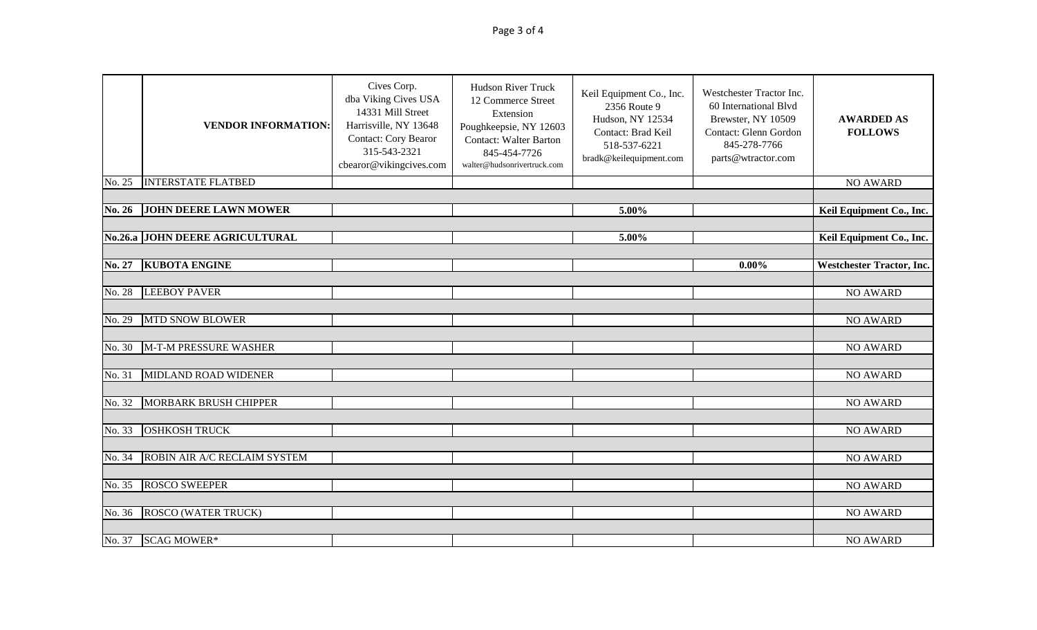|          | <b>VENDOR INFORMATION:</b>      | Cives Corp.<br>dba Viking Cives USA<br>14331 Mill Street<br>Harrisville, NY 13648<br><b>Contact: Cory Bearor</b><br>315-543-2321<br>cbearor@vikingcives.com | <b>Hudson River Truck</b><br>12 Commerce Street<br>Extension<br>Poughkeepsie, NY 12603<br><b>Contact: Walter Barton</b><br>845-454-7726<br>walter@hudsonrivertruck.com | Keil Equipment Co., Inc.<br>2356 Route 9<br>Hudson, NY 12534<br>Contact: Brad Keil<br>518-537-6221<br>bradk@keilequipment.com | Westchester Tractor Inc.<br>60 International Blvd<br>Brewster, NY 10509<br>Contact: Glenn Gordon<br>845-278-7766<br>parts@wtractor.com | <b>AWARDED AS</b><br><b>FOLLOWS</b> |
|----------|---------------------------------|-------------------------------------------------------------------------------------------------------------------------------------------------------------|------------------------------------------------------------------------------------------------------------------------------------------------------------------------|-------------------------------------------------------------------------------------------------------------------------------|----------------------------------------------------------------------------------------------------------------------------------------|-------------------------------------|
| No. 25   | <b>INTERSTATE FLATBED</b>       |                                                                                                                                                             |                                                                                                                                                                        |                                                                                                                               |                                                                                                                                        | <b>NO AWARD</b>                     |
|          |                                 |                                                                                                                                                             |                                                                                                                                                                        |                                                                                                                               |                                                                                                                                        |                                     |
| No. 26   | <b>JOHN DEERE LAWN MOWER</b>    |                                                                                                                                                             |                                                                                                                                                                        | 5.00%                                                                                                                         |                                                                                                                                        | Keil Equipment Co., Inc.            |
|          |                                 |                                                                                                                                                             |                                                                                                                                                                        |                                                                                                                               |                                                                                                                                        |                                     |
|          | No.26.a JOHN DEERE AGRICULTURAL |                                                                                                                                                             |                                                                                                                                                                        | 5.00%                                                                                                                         |                                                                                                                                        | Keil Equipment Co., Inc.            |
|          |                                 |                                                                                                                                                             |                                                                                                                                                                        |                                                                                                                               |                                                                                                                                        |                                     |
| No. 27   | <b>KUBOTA ENGINE</b>            |                                                                                                                                                             |                                                                                                                                                                        |                                                                                                                               | $0.00\%$                                                                                                                               | <b>Westchester Tractor, Inc.</b>    |
|          |                                 |                                                                                                                                                             |                                                                                                                                                                        |                                                                                                                               |                                                                                                                                        |                                     |
| No. 28   | <b>LEEBOY PAVER</b>             |                                                                                                                                                             |                                                                                                                                                                        |                                                                                                                               |                                                                                                                                        | <b>NO AWARD</b>                     |
|          |                                 |                                                                                                                                                             |                                                                                                                                                                        |                                                                                                                               |                                                                                                                                        |                                     |
| No. $29$ | <b>MTD SNOW BLOWER</b>          |                                                                                                                                                             |                                                                                                                                                                        |                                                                                                                               |                                                                                                                                        | <b>NO AWARD</b>                     |
|          |                                 |                                                                                                                                                             |                                                                                                                                                                        |                                                                                                                               |                                                                                                                                        |                                     |
| No. 30   | M-T-M PRESSURE WASHER           |                                                                                                                                                             |                                                                                                                                                                        |                                                                                                                               |                                                                                                                                        | <b>NO AWARD</b>                     |
|          |                                 |                                                                                                                                                             |                                                                                                                                                                        |                                                                                                                               |                                                                                                                                        |                                     |
| No. 31   | <b>MIDLAND ROAD WIDENER</b>     |                                                                                                                                                             |                                                                                                                                                                        |                                                                                                                               |                                                                                                                                        | <b>NO AWARD</b>                     |
|          |                                 |                                                                                                                                                             |                                                                                                                                                                        |                                                                                                                               |                                                                                                                                        |                                     |
| No. 32   | MORBARK BRUSH CHIPPER           |                                                                                                                                                             |                                                                                                                                                                        |                                                                                                                               |                                                                                                                                        | <b>NO AWARD</b>                     |
|          |                                 |                                                                                                                                                             |                                                                                                                                                                        |                                                                                                                               |                                                                                                                                        |                                     |
| No. 33   | <b>OSHKOSH TRUCK</b>            |                                                                                                                                                             |                                                                                                                                                                        |                                                                                                                               |                                                                                                                                        | <b>NO AWARD</b>                     |
|          |                                 |                                                                                                                                                             |                                                                                                                                                                        |                                                                                                                               |                                                                                                                                        |                                     |
| No. 34   | ROBIN AIR A/C RECLAIM SYSTEM    |                                                                                                                                                             |                                                                                                                                                                        |                                                                                                                               |                                                                                                                                        | <b>NO AWARD</b>                     |
|          |                                 |                                                                                                                                                             |                                                                                                                                                                        |                                                                                                                               |                                                                                                                                        |                                     |
| No. 35   | <b>ROSCO SWEEPER</b>            |                                                                                                                                                             |                                                                                                                                                                        |                                                                                                                               |                                                                                                                                        | <b>NO AWARD</b>                     |
|          |                                 |                                                                                                                                                             |                                                                                                                                                                        |                                                                                                                               |                                                                                                                                        |                                     |
| No. 36   | <b>ROSCO (WATER TRUCK)</b>      |                                                                                                                                                             |                                                                                                                                                                        |                                                                                                                               |                                                                                                                                        | <b>NO AWARD</b>                     |
|          |                                 |                                                                                                                                                             |                                                                                                                                                                        |                                                                                                                               |                                                                                                                                        |                                     |
| No. 37   | <b>SCAG MOWER*</b>              |                                                                                                                                                             |                                                                                                                                                                        |                                                                                                                               |                                                                                                                                        | <b>NO AWARD</b>                     |